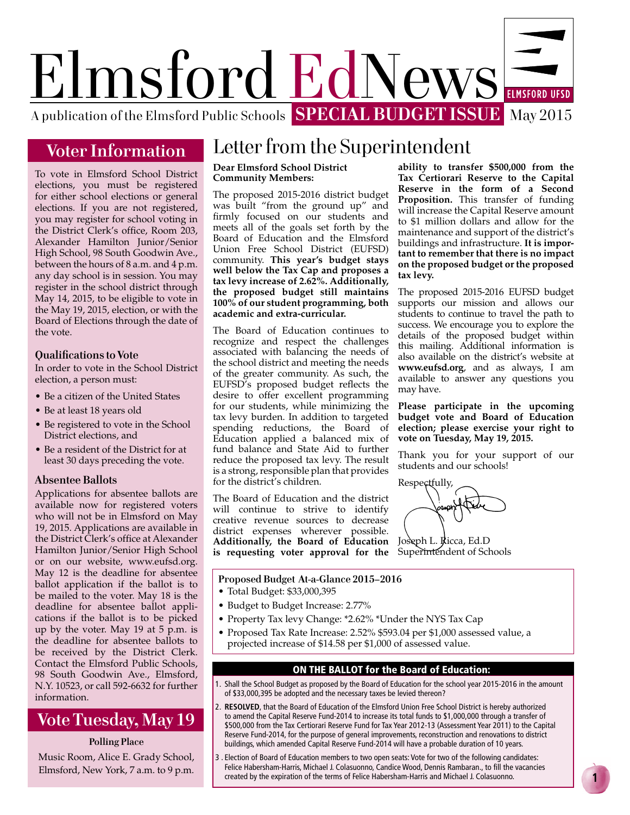

## **Voter Information**

To vote in Elmsford School District elections, you must be registered for either school elections or general elections. If you are not registered, you may register for school voting in the District Clerk's office, Room 203, Alexander Hamilton Junior/Senior High School, 98 South Goodwin Ave., between the hours of 8 a.m. and 4 p.m. any day school is in session. You may register in the school district through May 14, 2015, to be eligible to vote in the May 19, 2015, election, or with the Board of Elections through the date of the vote.

#### **Qualifications to Vote**

In order to vote in the School District election, a person must:

- Be a citizen of the United States
- Be at least 18 years old
- Be registered to vote in the School District elections, and
- Be a resident of the District for at least 30 days preceding the vote.

#### **Absentee Ballots**

Applications for absentee ballots are available now for registered voters who will not be in Elmsford on May 19, 2015. Applications are available in the District Clerk's office at Alexander Hamilton Junior/Senior High School or on our website, www.eufsd.org. May 12 is the deadline for absentee ballot application if the ballot is to be mailed to the voter. May 18 is the deadline for absentee ballot applications if the ballot is to be picked up by the voter. May 19 at 5 p.m. is the deadline for absentee ballots to be received by the District Clerk. Contact the Elmsford Public Schools, 98 South Goodwin Ave., Elmsford, N.Y. 10523, or call 592-6632 for further information.

## **Vote Tuesday, May 19**

#### **Polling Place**

Music Room, Alice E. Grady School, Elmsford, New York, 7 a.m. to 9 p.m.

## Letter from the Superintendent

#### **Dear Elmsford School District Community Members:**

The proposed 2015-2016 district budget was built "from the ground up" and firmly focused on our students and meets all of the goals set forth by the Board of Education and the Elmsford Union Free School District (EUFSD) community. **This year's budget stays well below the Tax Cap and proposes a tax levy increase of 2.62%. Additionally, the proposed budget still maintains 100% of our student programming, both academic and extra-curricular.**

The Board of Education continues to recognize and respect the challenges associated with balancing the needs of the school district and meeting the needs of the greater community. As such, the EUFSD's proposed budget reflects the desire to offer excellent programming for our students, while minimizing the tax levy burden. In addition to targeted spending reductions, the Board of Education applied a balanced mix of fund balance and State Aid to further reduce the proposed tax levy. The result is a strong, responsible plan that provides for the district's children.

The Board of Education and the district will continue to strive to identify creative revenue sources to decrease district expenses wherever possible. **Additionally, the Board of Education is requesting voter approval for the** 

**ability to transfer \$500,000 from the Tax Certiorari Reserve to the Capital Reserve in the form of a Second Proposition.** This transfer of funding will increase the Capital Reserve amount to \$1 million dollars and allow for the maintenance and support of the district's buildings and infrastructure. **It is important to remember that there is no impact on the proposed budget or the proposed tax levy.**

The proposed 2015-2016 EUFSD budget supports our mission and allows our students to continue to travel the path to success. We encourage you to explore the details of the proposed budget within this mailing. Additional information is also available on the district's website at **www.eufsd.org**, and as always, I am available to answer any questions you may have.

**Please participate in the upcoming budget vote and Board of Education election; please exercise your right to vote on Tuesday, May 19, 2015.** 

Thank you for your support of our students and our schools!

Respectfully,

Joseph L. Ricca, Ed.D Superintendent of Schools

#### **Proposed Budget At-a-Glance 2015–2016**

- Total Budget: \$33,000,395
- Budget to Budget Increase: 2.77%
- Property Tax levy Change: \*2.62% \*Under the NYS Tax Cap
- Proposed Tax Rate Increase: 2.52% \$593.04 per \$1,000 assessed value, a projected increase of \$14.58 per \$1,000 of assessed value.

#### ON THE BALLOT for the Board of Education:

- 1. Shall the School Budget as proposed by the Board of Education for the school year 2015-2016 in the amount of \$33,000,395 be adopted and the necessary taxes be levied thereon?
- 2. **RESOLVED**, that the Board of Education of the Elmsford Union Free School District is hereby authorized to amend the Capital Reserve Fund-2014 to increase its total funds to \$1,000,000 through a transfer of \$500,000 from the Tax Certiorari Reserve Fund for Tax Year 2012-13 (Assessment Year 2011) to the Capital Reserve Fund-2014, for the purpose of general improvements, reconstruction and renovations to district buildings, which amended Capital Reserve Fund-2014 will have a probable duration of 10 years.
- 3 . Election of Board of Education members to two open seats: Vote for two of the following candidates: Felice Habersham-Harris, Michael J. Colasuonno, Candice Wood, Dennis Rambaran., to fill the vacancies created by the expiration of the terms of Felice Habersham-Harris and Michael J. Colasuonno.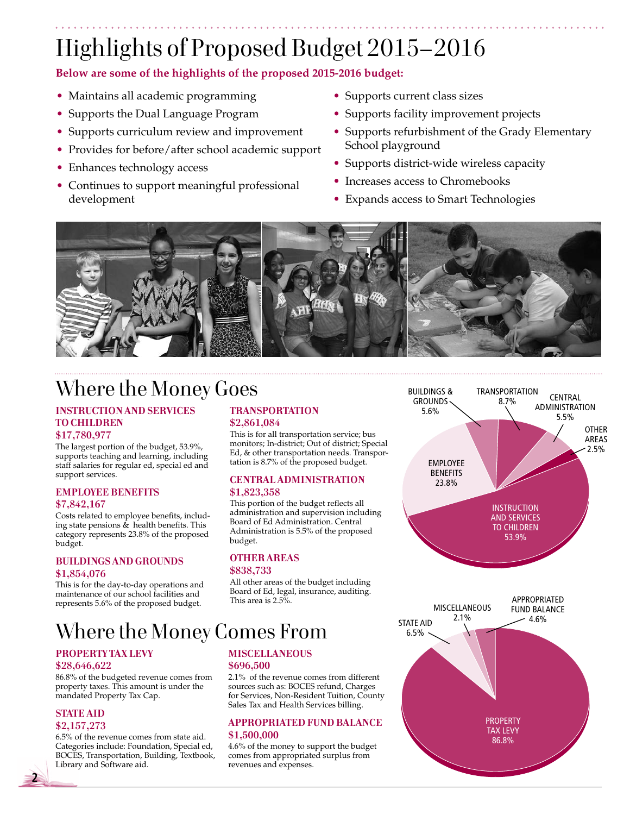# Highlights of Proposed Budget 2015– 2016

**Below are some of the highlights of the proposed 2015-2016 budget:**

- Maintains all academic programming
- Supports the Dual Language Program
- Supports curriculum review and improvement
- Provides for before/after school academic support
- Enhances technology access
- Continues to support meaningful professional development
- Supports current class sizes
- Supports facility improvement projects
- Supports refurbishment of the Grady Elementary School playground
- Supports district-wide wireless capacity
- Increases access to Chromebooks
- Expands access to Smart Technologies



# Where the Money Goes

## **INSTRUCTION AND SERVICES TO CHILDREN**

#### **\$17,780,977**

The largest portion of the budget, 53.9%, supports teaching and learning, including staff salaries for regular ed, special ed and support services.

#### **EMPLOYEE BENEFITS \$7,842,167**

Costs related to employee benefits, including state pensions & health benefits. This category represents 23.8% of the proposed budget.

#### **BUILDINGS AND GROUNDS \$1,854,076**

This is for the day-to-day operations and maintenance of our school facilities and represents 5.6% of the proposed budget.

### **TRANSPORTATION \$2,861,084**

This is for all transportation service; bus monitors; In-district; Out of district; Special Ed, & other transportation needs. Transportation is 8.7% of the proposed budget.

#### **CENTRAL ADMINISTRATION \$1,823,358**

This portion of the budget reflects all administration and supervision including Board of Ed Administration. Central Administration is 5.5% of the proposed budget.

## **OTHER AREAS**

### **\$838,733**

All other areas of the budget including Board of Ed, legal, insurance, auditing. This area is  $2.5\%$ .

Where the Money Comes From

#### **PROPERTY TAX LEVY \$28,646,622**

86.8% of the budgeted revenue comes from property taxes. This amount is under the mandated Property Tax Cap.

#### **STATE AID \$2,157,273**

**2**

6.5% of the revenue comes from state aid. Categories include: Foundation, Special ed, BOCES, Transportation, Building, Textbook, Library and Software aid.

#### **MISCELLANEOUS \$696,500**

2.1% of the revenue comes from different sources such as: BOCES refund, Charges for Services, Non-Resident Tuition, County Sales Tax and Health Services billing.

#### **APPROPRIATED FUND BALANCE \$1,500,000**

4.6% of the money to support the budget comes from appropriated surplus from revenues and expenses.



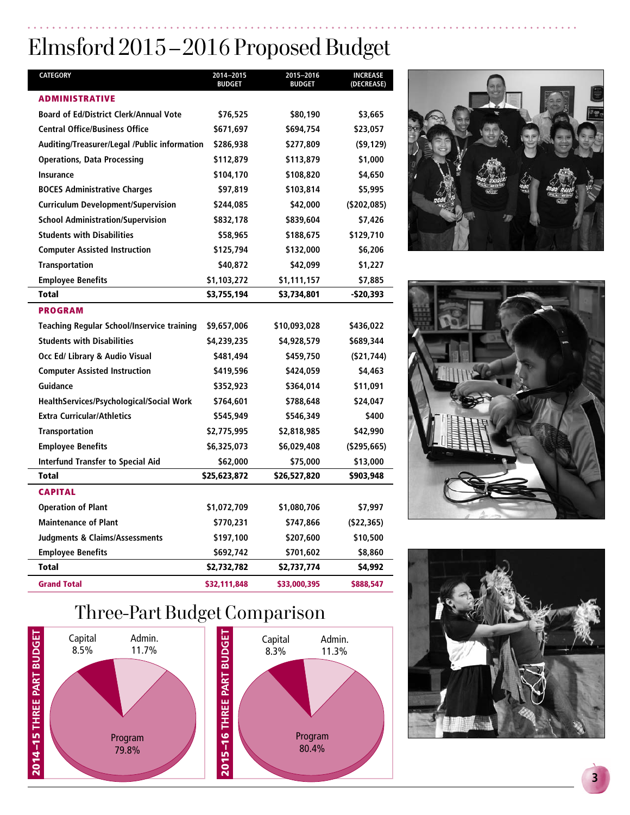# Elmsford 2015 – 2016 Proposed Budget

| <b>CATEGORY</b>                               | 2014-2015<br><b>BUDGET</b> | 2015-2016<br><b>BUDGET</b> | <b>INCREASE</b><br>(DECREASE) |
|-----------------------------------------------|----------------------------|----------------------------|-------------------------------|
| <b>ADMINISTRATIVE</b>                         |                            |                            |                               |
| <b>Board of Ed/District Clerk/Annual Vote</b> | \$76,525                   | \$80,190                   | \$3,665                       |
| <b>Central Office/Business Office</b>         | \$671,697                  | \$694,754                  | \$23,057                      |
| Auditing/Treasurer/Legal /Public information  | \$286,938                  | \$277,809                  | (59, 129)                     |
| <b>Operations, Data Processing</b>            | \$112,879                  | \$113,879                  | \$1,000                       |
| <b>Insurance</b>                              | \$104,170                  | \$108,820                  | \$4,650                       |
| <b>BOCES Administrative Charges</b>           | \$97,819                   | \$103,814                  | \$5,995                       |
| <b>Curriculum Development/Supervision</b>     | \$244,085                  | \$42,000                   | ( \$202,085)                  |
| <b>School Administration/Supervision</b>      | \$832,178                  | \$839,604                  | \$7,426                       |
| <b>Students with Disabilities</b>             | \$58,965                   | \$188,675                  | \$129,710                     |
| <b>Computer Assisted Instruction</b>          | \$125,794                  | \$132,000                  | \$6,206                       |
| <b>Transportation</b>                         | \$40,872                   | \$42,099                   | \$1,227                       |
| <b>Employee Benefits</b>                      | \$1,103,272                | \$1,111,157                | \$7,885                       |
| <b>Total</b>                                  | \$3,755,194                | \$3,734,801                | -\$20,393                     |
| <b>PROGRAM</b>                                |                            |                            |                               |
| Teaching Regular School/Inservice training    | \$9,657,006                | \$10,093,028               | \$436,022                     |
| <b>Students with Disabilities</b>             | \$4,239,235                | \$4,928,579                | \$689,344                     |
| Occ Ed/ Library & Audio Visual                | \$481,494                  | \$459,750                  | ( \$21, 744)                  |
| <b>Computer Assisted Instruction</b>          | \$419,596                  | \$424,059                  | \$4,463                       |
| Guidance                                      | \$352,923                  | \$364,014                  | \$11,091                      |
| HealthServices/Psychological/Social Work      | \$764,601                  | \$788,648                  | \$24,047                      |
| <b>Extra Curricular/Athletics</b>             | \$545,949                  | \$546,349                  | \$400                         |
| <b>Transportation</b>                         | \$2,775,995                | \$2,818,985                | \$42,990                      |
| <b>Employee Benefits</b>                      | \$6,325,073                | \$6,029,408                | $($ \$295,665)                |
| <b>Interfund Transfer to Special Aid</b>      | \$62,000                   | \$75,000                   | \$13,000                      |
| <b>Total</b>                                  | \$25,623,872               | \$26,527,820               | \$903,948                     |
| <b>CAPITAL</b>                                |                            |                            |                               |
| <b>Operation of Plant</b>                     | \$1,072,709                | \$1,080,706                | \$7,997                       |
| <b>Maintenance of Plant</b>                   | \$770,231                  | \$747,866                  | ( \$22, 365)                  |
| <b>Judgments &amp; Claims/Assessments</b>     | \$197,100                  | \$207,600                  | \$10,500                      |
| <b>Employee Benefits</b>                      | \$692,742                  | \$701,602                  | \$8,860                       |
| <b>Total</b>                                  | \$2,732,782                | \$2,737,774                | \$4,992                       |
| <b>Grand Total</b>                            | \$32,111,848               | \$33,000,395               | \$888,547                     |

# Three-Part Budget Comparison